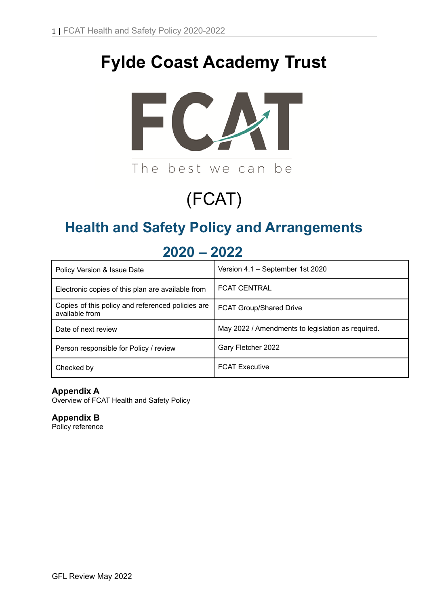# **Fylde Coast Academy Trust**



# (FCAT)

# **Health and Safety Policy and Arrangements**

| Policy Version & Issue Date                                         | Version 4.1 - September 1st 2020                  |  |  |  |
|---------------------------------------------------------------------|---------------------------------------------------|--|--|--|
| Electronic copies of this plan are available from                   | <b>FCAT CENTRAL</b>                               |  |  |  |
| Copies of this policy and referenced policies are<br>available from | <b>FCAT Group/Shared Drive</b>                    |  |  |  |
| Date of next review                                                 | May 2022 / Amendments to legislation as required. |  |  |  |
| Person responsible for Policy / review                              | Gary Fletcher 2022                                |  |  |  |
| Checked by                                                          | <b>FCAT Executive</b>                             |  |  |  |

# **2020 – 2022**

# **Appendix A**

Overview of FCAT Health and Safety Policy

# **Appendix B**

Policy reference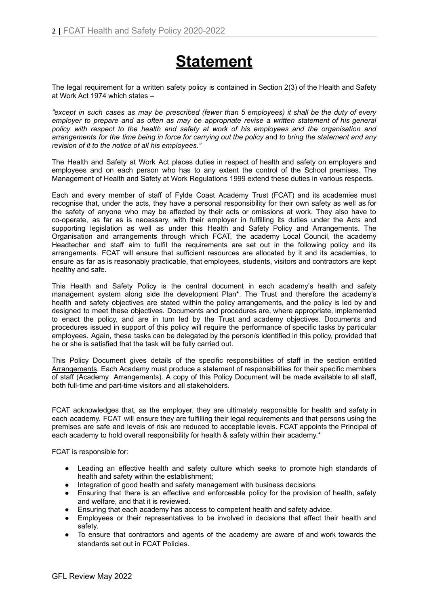# **Statement**

The legal requirement for a written safety policy is contained in Section 2(3) of the Health and Safety at Work Act 1974 which states –

"except in such cases as may be prescribed (fewer than 5 employees) it shall be the duty of every *employer to prepare and as often as may be appropriate revise a written statement of his general policy with respect to the health and safety at work of his employees and the organisation and* arrangements for the time being in force for carrying out the policy and to bring the statement and any *revision of it to the notice of all his employees."*

The Health and Safety at Work Act places duties in respect of health and safety on employers and employees and on each person who has to any extent the control of the School premises. The Management of Health and Safety at Work Regulations 1999 extend these duties in various respects.

Each and every member of staff of Fylde Coast Academy Trust (FCAT) and its academies must recognise that, under the acts, they have a personal responsibility for their own safety as well as for the safety of anyone who may be affected by their acts or omissions at work. They also have to co-operate, as far as is necessary, with their employer in fulfilling its duties under the Acts and supporting legislation as well as under this Health and Safety Policy and Arrangements. The Organisation and arrangements through which FCAT, the academy Local Council, the academy Headtecher and staff aim to fulfil the requirements are set out in the following policy and its arrangements. FCAT will ensure that sufficient resources are allocated by it and its academies, to ensure as far as is reasonably practicable, that employees, students, visitors and contractors are kept healthy and safe.

This Health and Safety Policy is the central document in each academy's health and safety management system along side the development Plan\*. The Trust and therefore the academy's health and safety objectives are stated within the policy arrangements, and the policy is led by and designed to meet these objectives. Documents and procedures are, where appropriate, implemented to enact the policy, and are in turn led by the Trust and academy objectives. Documents and procedures issued in support of this policy will require the performance of specific tasks by particular employees. Again, these tasks can be delegated by the person/s identified in this policy, provided that he or she is satisfied that the task will be fully carried out.

This Policy Document gives details of the specific responsibilities of staff in the section entitled Arrangements. Each Academy must produce a statement of responsibilities for their specific members of staff (Academy Arrangements). A copy of this Policy Document will be made available to all staff, both full-time and part-time visitors and all stakeholders.

FCAT acknowledges that, as the employer, they are ultimately responsible for health and safety in each academy. FCAT will ensure they are fulfilling their legal requirements and that persons using the premises are safe and levels of risk are reduced to acceptable levels. FCAT appoints the Principal of each academy to hold overall responsibility for health & safety within their academy.\*

FCAT is responsible for:

- Leading an effective health and safety culture which seeks to promote high standards of health and safety within the establishment;
- Integration of good health and safety management with business decisions
- Ensuring that there is an effective and enforceable policy for the provision of health, safety and welfare, and that it is reviewed.
- Ensuring that each academy has access to competent health and safety advice.
- Employees or their representatives to be involved in decisions that affect their health and safety.
- To ensure that contractors and agents of the academy are aware of and work towards the standards set out in FCAT Policies.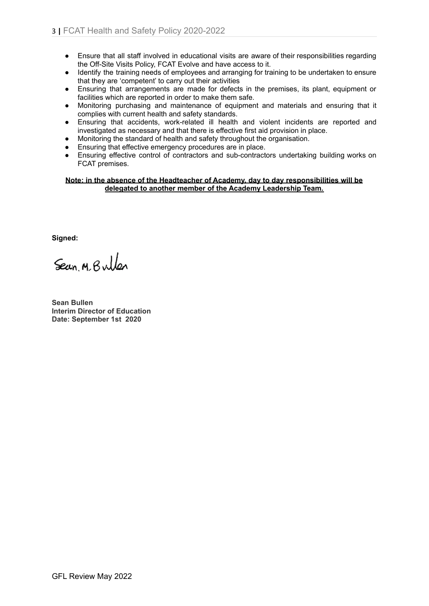- Ensure that all staff involved in educational visits are aware of their responsibilities regarding the Off-Site Visits Policy, FCAT Evolve and have access to it.
- Identify the training needs of employees and arranging for training to be undertaken to ensure that they are 'competent' to carry out their activities
- Ensuring that arrangements are made for defects in the premises, its plant, equipment or facilities which are reported in order to make them safe.
- Monitoring purchasing and maintenance of equipment and materials and ensuring that it complies with current health and safety standards.
- Ensuring that accidents, work-related ill health and violent incidents are reported and investigated as necessary and that there is effective first aid provision in place.
- Monitoring the standard of health and safety throughout the organisation.
- Ensuring that effective emergency procedures are in place.
- Ensuring effective control of contractors and sub-contractors undertaking building works on FCAT premises.

#### **Note: in the absence of the Headteacher of Academy, day to day responsibilities will be delegated to another member of the Academy Leadership Team.**

**Signed:**

Sean M. Bullen

**Sean Bullen Interim Director of Education Date: September 1st 2020**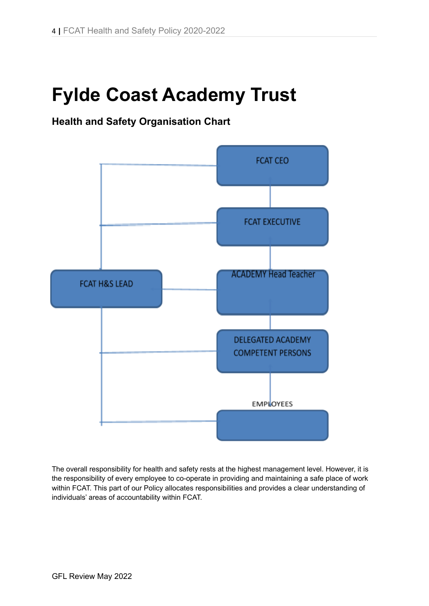# **Fylde Coast Academy Trust**

# **Health and Safety Organisation Chart**



The overall responsibility for health and safety rests at the highest management level. However, it is the responsibility of every employee to co-operate in providing and maintaining a safe place of work within FCAT. This part of our Policy allocates responsibilities and provides a clear understanding of individuals' areas of accountability within FCAT.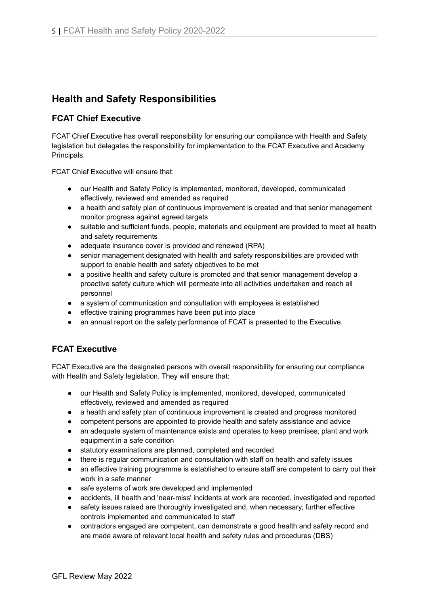# **Health and Safety Responsibilities**

# **FCAT Chief Executive**

FCAT Chief Executive has overall responsibility for ensuring our compliance with Health and Safety legislation but delegates the responsibility for implementation to the FCAT Executive and Academy Principals.

FCAT Chief Executive will ensure that:

- our Health and Safety Policy is implemented, monitored, developed, communicated effectively, reviewed and amended as required
- a health and safety plan of continuous improvement is created and that senior management monitor progress against agreed targets
- suitable and sufficient funds, people, materials and equipment are provided to meet all health and safety requirements
- adequate insurance cover is provided and renewed (RPA)
- senior management designated with health and safety responsibilities are provided with support to enable health and safety objectives to be met
- a positive health and safety culture is promoted and that senior management develop a proactive safety culture which will permeate into all activities undertaken and reach all personnel
- a system of communication and consultation with employees is established
- effective training programmes have been put into place
- an annual report on the safety performance of FCAT is presented to the Executive.

# **FCAT Executive**

FCAT Executive are the designated persons with overall responsibility for ensuring our compliance with Health and Safety legislation. They will ensure that:

- our Health and Safety Policy is implemented, monitored, developed, communicated effectively, reviewed and amended as required
- a health and safety plan of continuous improvement is created and progress monitored
- competent persons are appointed to provide health and safety assistance and advice
- an adequate system of maintenance exists and operates to keep premises, plant and work equipment in a safe condition
- statutory examinations are planned, completed and recorded
- there is regular communication and consultation with staff on health and safety issues
- an effective training programme is established to ensure staff are competent to carry out their work in a safe manner
- safe systems of work are developed and implemented
- accidents, ill health and 'near-miss' incidents at work are recorded, investigated and reported
- safety issues raised are thoroughly investigated and, when necessary, further effective controls implemented and communicated to staff
- contractors engaged are competent, can demonstrate a good health and safety record and are made aware of relevant local health and safety rules and procedures (DBS)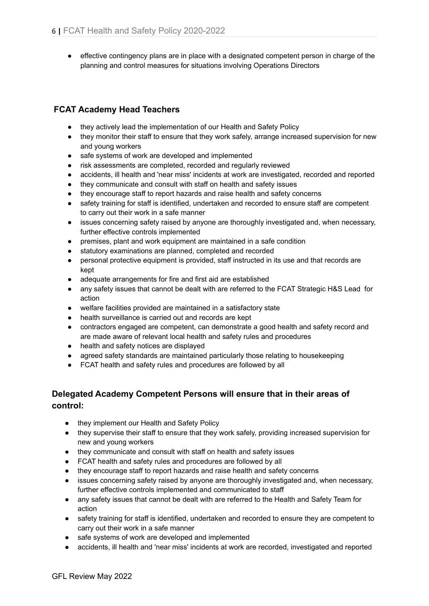● effective contingency plans are in place with a designated competent person in charge of the planning and control measures for situations involving Operations Directors

# **FCAT Academy Head Teachers**

- they actively lead the implementation of our Health and Safety Policy
- they monitor their staff to ensure that they work safely, arrange increased supervision for new and young workers
- safe systems of work are developed and implemented
- risk assessments are completed, recorded and regularly reviewed
- accidents, ill health and 'near miss' incidents at work are investigated, recorded and reported
- they communicate and consult with staff on health and safety issues
- they encourage staff to report hazards and raise health and safety concerns
- safety training for staff is identified, undertaken and recorded to ensure staff are competent to carry out their work in a safe manner
- issues concerning safety raised by anyone are thoroughly investigated and, when necessary, further effective controls implemented
- premises, plant and work equipment are maintained in a safe condition
- statutory examinations are planned, completed and recorded
- personal protective equipment is provided, staff instructed in its use and that records are kept
- adequate arrangements for fire and first aid are established
- any safety issues that cannot be dealt with are referred to the FCAT Strategic H&S Lead for action
- welfare facilities provided are maintained in a satisfactory state
- health surveillance is carried out and records are kept
- contractors engaged are competent, can demonstrate a good health and safety record and are made aware of relevant local health and safety rules and procedures
- health and safety notices are displayed
- agreed safety standards are maintained particularly those relating to housekeeping
- FCAT health and safety rules and procedures are followed by all

# **Delegated Academy Competent Persons will ensure that in their areas of control:**

- they implement our Health and Safety Policy
- they supervise their staff to ensure that they work safely, providing increased supervision for new and young workers
- they communicate and consult with staff on health and safety issues
- FCAT health and safety rules and procedures are followed by all
- they encourage staff to report hazards and raise health and safety concerns
- issues concerning safety raised by anyone are thoroughly investigated and, when necessary, further effective controls implemented and communicated to staff
- any safety issues that cannot be dealt with are referred to the Health and Safety Team for action
- safety training for staff is identified, undertaken and recorded to ensure they are competent to carry out their work in a safe manner
- safe systems of work are developed and implemented
- accidents, ill health and 'near miss' incidents at work are recorded, investigated and reported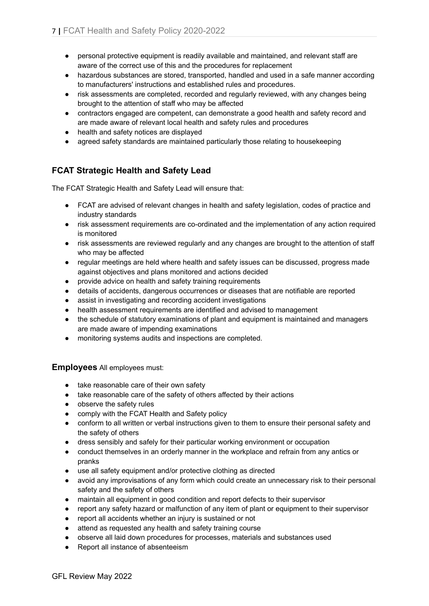- personal protective equipment is readily available and maintained, and relevant staff are aware of the correct use of this and the procedures for replacement
- hazardous substances are stored, transported, handled and used in a safe manner according to manufacturers' instructions and established rules and procedures.
- risk assessments are completed, recorded and regularly reviewed, with any changes being brought to the attention of staff who may be affected
- contractors engaged are competent, can demonstrate a good health and safety record and are made aware of relevant local health and safety rules and procedures
- health and safety notices are displayed
- agreed safety standards are maintained particularly those relating to housekeeping

# **FCAT Strategic Health and Safety Lead**

The FCAT Strategic Health and Safety Lead will ensure that:

- FCAT are advised of relevant changes in health and safety legislation, codes of practice and industry standards
- risk assessment requirements are co-ordinated and the implementation of any action required is monitored
- risk assessments are reviewed regularly and any changes are brought to the attention of staff who may be affected
- regular meetings are held where health and safety issues can be discussed, progress made against objectives and plans monitored and actions decided
- provide advice on health and safety training requirements
- details of accidents, dangerous occurrences or diseases that are notifiable are reported
- assist in investigating and recording accident investigations
- health assessment requirements are identified and advised to management
- the schedule of statutory examinations of plant and equipment is maintained and managers are made aware of impending examinations
- monitoring systems audits and inspections are completed.

**Employees** All employees must:

- take reasonable care of their own safety
- take reasonable care of the safety of others affected by their actions
- observe the safety rules
- comply with the FCAT Health and Safety policy
- conform to all written or verbal instructions given to them to ensure their personal safety and the safety of others
- dress sensibly and safely for their particular working environment or occupation
- conduct themselves in an orderly manner in the workplace and refrain from any antics or pranks
- use all safety equipment and/or protective clothing as directed
- avoid any improvisations of any form which could create an unnecessary risk to their personal safety and the safety of others
- maintain all equipment in good condition and report defects to their supervisor
- report any safety hazard or malfunction of any item of plant or equipment to their supervisor
- report all accidents whether an injury is sustained or not
- attend as requested any health and safety training course
- observe all laid down procedures for processes, materials and substances used
- Report all instance of absenteeism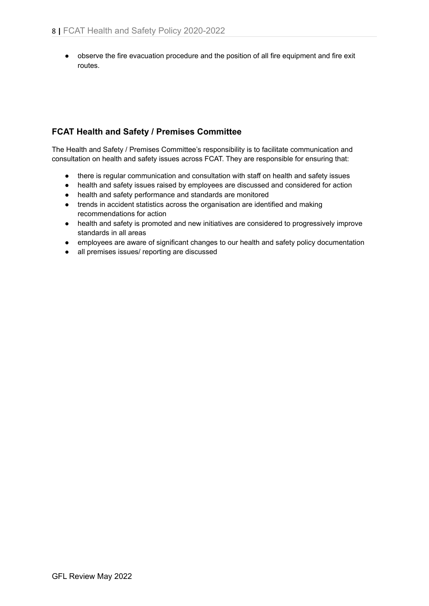● observe the fire evacuation procedure and the position of all fire equipment and fire exit routes.

# **FCAT Health and Safety / Premises Committee**

The Health and Safety / Premises Committee's responsibility is to facilitate communication and consultation on health and safety issues across FCAT. They are responsible for ensuring that:

- there is regular communication and consultation with staff on health and safety issues
- health and safety issues raised by employees are discussed and considered for action
- health and safety performance and standards are monitored
- trends in accident statistics across the organisation are identified and making recommendations for action
- health and safety is promoted and new initiatives are considered to progressively improve standards in all areas
- employees are aware of significant changes to our health and safety policy documentation
- all premises issues/ reporting are discussed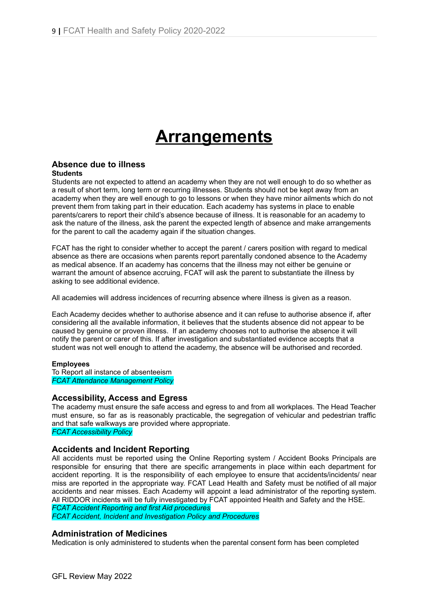# **Arrangements**

#### **Absence due to illness Students**

Students are not expected to attend an academy when they are not well enough to do so whether as a result of short term, long term or recurring illnesses. Students should not be kept away from an academy when they are well enough to go to lessons or when they have minor ailments which do not prevent them from taking part in their education. Each academy has systems in place to enable parents/carers to report their child's absence because of illness. It is reasonable for an academy to ask the nature of the illness, ask the parent the expected length of absence and make arrangements for the parent to call the academy again if the situation changes.

FCAT has the right to consider whether to accept the parent / carers position with regard to medical absence as there are occasions when parents report parentally condoned absence to the Academy as medical absence. If an academy has concerns that the illness may not either be genuine or warrant the amount of absence accruing, FCAT will ask the parent to substantiate the illness by asking to see additional evidence.

All academies will address incidences of recurring absence where illness is given as a reason.

Each Academy decides whether to authorise absence and it can refuse to authorise absence if, after considering all the available information, it believes that the students absence did not appear to be caused by genuine or proven illness. If an academy chooses not to authorise the absence it will notify the parent or carer of this. If after investigation and substantiated evidence accepts that a student was not well enough to attend the academy, the absence will be authorised and recorded.

#### **Employees**

To Report all instance of absenteeism *FCAT Attendance Management Policy*

#### **Accessibility, Access and Egress**

The academy must ensure the safe access and egress to and from all workplaces. The Head Teacher must ensure, so far as is reasonably practicable, the segregation of vehicular and pedestrian traffic and that safe walkways are provided where appropriate. *FCAT Accessibility Policy*

#### **Accidents and Incident Reporting**

All accidents must be reported using the Online Reporting system / Accident Books Principals are responsible for ensuring that there are specific arrangements in place within each department for accident reporting. It is the responsibility of each employee to ensure that accidents/incidents/ near miss are reported in the appropriate way. FCAT Lead Health and Safety must be notified of all major accidents and near misses. Each Academy will appoint a lead administrator of the reporting system. All RIDDOR incidents will be fully investigated by FCAT appointed Health and Safety and the HSE.

*FCAT Accident Reporting and first Aid procedures FCAT Accident, Incident and Investigation Policy and Procedures*

#### **Administration of Medicines**

Medication is only administered to students when the parental consent form has been completed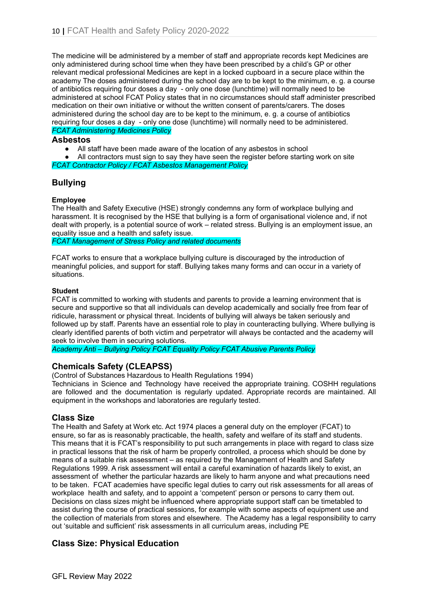The medicine will be administered by a member of staff and appropriate records kept Medicines are only administered during school time when they have been prescribed by a child's GP or other relevant medical professional Medicines are kept in a locked cupboard in a secure place within the academy The doses administered during the school day are to be kept to the minimum, e. g. a course of antibiotics requiring four doses a day - only one dose (lunchtime) will normally need to be administered at school FCAT Policy states that in no circumstances should staff administer prescribed medication on their own initiative or without the written consent of parents/carers. The doses administered during the school day are to be kept to the minimum, e. g. a course of antibiotics requiring four doses a day - only one dose (lunchtime) will normally need to be administered. *FCAT Administering Medicines Policy*

#### **Asbestos**

**●** All staff have been made aware of the location of any asbestos in school

All contractors must sign to say they have seen the register before starting work on site *FCAT Contractor Policy / FCAT Asbestos Management Policy*

# **Bullying**

### **Employee**

The Health and Safety Executive (HSE) strongly condemns any form of workplace bullying and harassment. It is recognised by the HSE that bullying is a form of organisational violence and, if not dealt with properly, is a potential source of work – related stress. Bullying is an employment issue, an equality issue and a health and safety issue.

*FCAT Management of Stress Policy and related documents*

FCAT works to ensure that a workplace bullying culture is discouraged by the introduction of meaningful policies, and support for staff. Bullying takes many forms and can occur in a variety of situations.

#### **Student**

FCAT is committed to working with students and parents to provide a learning environment that is secure and supportive so that all individuals can develop academically and socially free from fear of ridicule, harassment or physical threat. Incidents of bullying will always be taken seriously and followed up by staff. Parents have an essential role to play in counteracting bullying. Where bullying is clearly identified parents of both victim and perpetrator will always be contacted and the academy will seek to involve them in securing solutions.

*Academy Anti – Bullying Policy FCAT Equality Policy FCAT Abusive Parents Policy*

# **Chemicals Safety (CLEAPSS)**

(Control of Substances Hazardous to Health Regulations 1994)

Technicians in Science and Technology have received the appropriate training. COSHH regulations are followed and the documentation is regularly updated. Appropriate records are maintained. All equipment in the workshops and laboratories are regularly tested.

# **Class Size**

The Health and Safety at Work etc. Act 1974 places a general duty on the employer (FCAT) to ensure, so far as is reasonably practicable, the health, safety and welfare of its staff and students. This means that it is FCAT's responsibility to put such arrangements in place with regard to class size in practical lessons that the risk of harm be properly controlled, a process which should be done by means of a suitable risk assessment – as required by the Management of Health and Safety Regulations 1999. A risk assessment will entail a careful examination of hazards likely to exist, an assessment of whether the particular hazards are likely to harm anyone and what precautions need to be taken. FCAT academies have specific legal duties to carry out risk assessments for all areas of workplace health and safety, and to appoint a 'competent' person or persons to carry them out. Decisions on class sizes might be influenced where appropriate support staff can be timetabled to assist during the course of practical sessions, for example with some aspects of equipment use and the collection of materials from stores and elsewhere. The Academy has a legal responsibility to carry out 'suitable and sufficient' risk assessments in all curriculum areas, including PE

# **Class Size: Physical Education**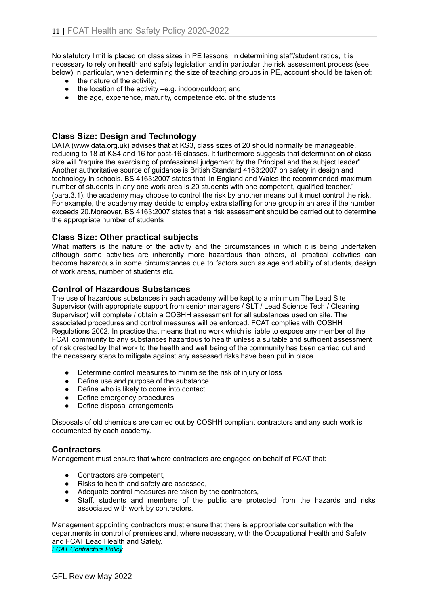No statutory limit is placed on class sizes in PE lessons. In determining staff/student ratios, it is necessary to rely on health and safety legislation and in particular the risk assessment process (see below).In particular, when determining the size of teaching groups in PE, account should be taken of:

- the nature of the activity;
- the location of the activity –e.g. indoor/outdoor; and
- the age, experience, maturity, competence etc. of the students

# **Class Size: Design and Technology**

DATA (www.data.org.uk) advises that at KS3, class sizes of 20 should normally be manageable, reducing to 18 at KS4 and 16 for post-16 classes. It furthermore suggests that determination of class size will "require the exercising of professional judgement by the Principal and the subject leader". Another authoritative source of guidance is British Standard 4163:2007 on safety in design and technology in schools. BS 4163:2007 states that 'in England and Wales the recommended maximum number of students in any one work area is 20 students with one competent, qualified teacher.' (para.3.1). the academy may choose to control the risk by another means but it must control the risk. For example, the academy may decide to employ extra staffing for one group in an area if the number exceeds 20.Moreover, BS 4163:2007 states that a risk assessment should be carried out to determine the appropriate number of students

# **Class Size: Other practical subjects**

What matters is the nature of the activity and the circumstances in which it is being undertaken although some activities are inherently more hazardous than others, all practical activities can become hazardous in some circumstances due to factors such as age and ability of students, design of work areas, number of students etc.

### **Control of Hazardous Substances**

The use of hazardous substances in each academy will be kept to a minimum The Lead Site Supervisor (with appropriate support from senior managers / SLT / Lead Science Tech / Cleaning Supervisor) will complete / obtain a COSHH assessment for all substances used on site. The associated procedures and control measures will be enforced. FCAT complies with COSHH Regulations 2002. In practice that means that no work which is liable to expose any member of the FCAT community to any substances hazardous to health unless a suitable and sufficient assessment of risk created by that work to the health and well being of the community has been carried out and the necessary steps to mitigate against any assessed risks have been put in place.

- Determine control measures to minimise the risk of injury or loss
- Define use and purpose of the substance
- Define who is likely to come into contact
- Define emergency procedures
- Define disposal arrangements

Disposals of old chemicals are carried out by COSHH compliant contractors and any such work is documented by each academy.

# **Contractors**

Management must ensure that where contractors are engaged on behalf of FCAT that:

- Contractors are competent,
- Risks to health and safety are assessed,
- Adequate control measures are taken by the contractors,
- Staff, students and members of the public are protected from the hazards and risks associated with work by contractors.

Management appointing contractors must ensure that there is appropriate consultation with the departments in control of premises and, where necessary, with the Occupational Health and Safety and FCAT Lead Health and Safety. *FCAT Contractors Policy*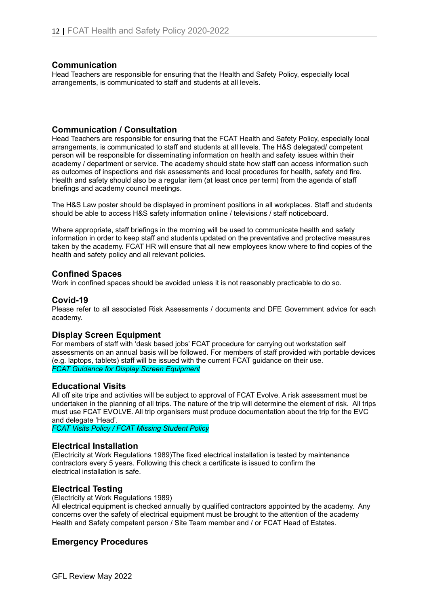#### **Communication**

Head Teachers are responsible for ensuring that the Health and Safety Policy, especially local arrangements, is communicated to staff and students at all levels.

#### **Communication / Consultation**

Head Teachers are responsible for ensuring that the FCAT Health and Safety Policy, especially local arrangements, is communicated to staff and students at all levels. The H&S delegated/ competent person will be responsible for disseminating information on health and safety issues within their academy / department or service. The academy should state how staff can access information such as outcomes of inspections and risk assessments and local procedures for health, safety and fire. Health and safety should also be a regular item (at least once per term) from the agenda of staff briefings and academy council meetings.

The H&S Law poster should be displayed in prominent positions in all workplaces. Staff and students should be able to access H&S safety information online / televisions / staff noticeboard.

Where appropriate, staff briefings in the morning will be used to communicate health and safety information in order to keep staff and students updated on the preventative and protective measures taken by the academy. FCAT HR will ensure that all new employees know where to find copies of the health and safety policy and all relevant policies.

### **Confined Spaces**

Work in confined spaces should be avoided unless it is not reasonably practicable to do so.

#### **Covid-19**

Please refer to all associated Risk Assessments / documents and DFE Government advice for each academy.

#### **Display Screen Equipment**

For members of staff with 'desk based jobs' FCAT procedure for carrying out workstation self assessments on an annual basis will be followed. For members of staff provided with portable devices (e.g. laptops, tablets) staff will be issued with the current FCAT guidance on their use. *FCAT Guidance for Display Screen Equipment*

#### **Educational Visits**

All off site trips and activities will be subject to approval of FCAT Evolve. A risk assessment must be undertaken in the planning of all trips. The nature of the trip will determine the element of risk. All trips must use FCAT EVOLVE. All trip organisers must produce documentation about the trip for the EVC and delegate 'Head'.

*FCAT Visits Policy / FCAT Missing Student Policy*

#### **Electrical Installation**

(Electricity at Work Regulations 1989)The fixed electrical installation is tested by maintenance contractors every 5 years. Following this check a certificate is issued to confirm the electrical installation is safe.

#### **Electrical Testing**

(Electricity at Work Regulations 1989)

All electrical equipment is checked annually by qualified contractors appointed by the academy. Any concerns over the safety of electrical equipment must be brought to the attention of the academy Health and Safety competent person / Site Team member and / or FCAT Head of Estates.

# **Emergency Procedures**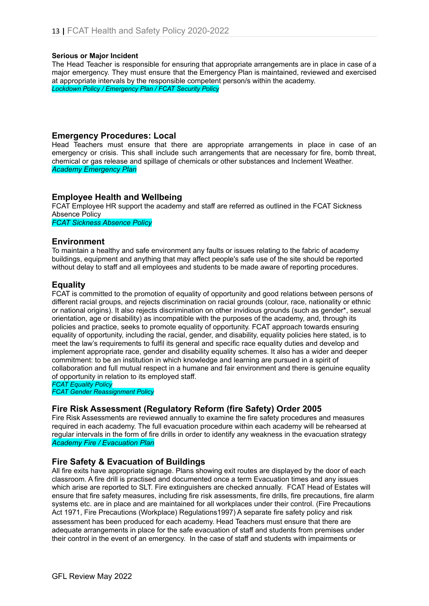#### **Serious or Major Incident**

The Head Teacher is responsible for ensuring that appropriate arrangements are in place in case of a major emergency. They must ensure that the Emergency Plan is maintained, reviewed and exercised at appropriate intervals by the responsible competent person/s within the academy. *Lockdown Policy / Emergency Plan / FCAT Security Policy*

# **Emergency Procedures: Local**

Head Teachers must ensure that there are appropriate arrangements in place in case of an emergency or crisis. This shall include such arrangements that are necessary for fire, bomb threat, chemical or gas release and spillage of chemicals or other substances and Inclement Weather. *Academy Emergency Plan*

# **Employee Health and Wellbeing**

FCAT Employee HR support the academy and staff are referred as outlined in the FCAT Sickness Absence Policy

*FCAT Sickness Absence Policy*

### **Environment**

To maintain a healthy and safe environment any faults or issues relating to the fabric of academy buildings, equipment and anything that may affect people's safe use of the site should be reported without delay to staff and all employees and students to be made aware of reporting procedures.

# **Equality**

FCAT is committed to the promotion of equality of opportunity and good relations between persons of different racial groups, and rejects discrimination on racial grounds (colour, race, nationality or ethnic or national origins). It also rejects discrimination on other invidious grounds (such as gender\*, sexual orientation, age or disability) as incompatible with the purposes of the academy, and, through its policies and practice, seeks to promote equality of opportunity. FCAT approach towards ensuring equality of opportunity, including the racial, gender, and disability, equality policies here stated, is to meet the law's requirements to fulfil its general and specific race equality duties and develop and implement appropriate race, gender and disability equality schemes. It also has a wider and deeper commitment: to be an institution in which knowledge and learning are pursued in a spirit of collaboration and full mutual respect in a humane and fair environment and there is genuine equality of opportunity in relation to its employed staff.

*FCAT Equality Policy*

*FCAT Gender Reassignment Policy*

# **Fire Risk Assessment (Regulatory Reform (fire Safety) Order 2005**

Fire Risk Assessments are reviewed annually to examine the fire safety procedures and measures required in each academy. The full evacuation procedure within each academy will be rehearsed at regular intervals in the form of fire drills in order to identify any weakness in the evacuation strategy *Academy Fire / Evacuation Plan*

# **Fire Safety & Evacuation of Buildings**

All fire exits have appropriate signage. Plans showing exit routes are displayed by the door of each classroom. A fire drill is practised and documented once a term Evacuation times and any issues which arise are reported to SLT. Fire extinguishers are checked annually. FCAT Head of Estates will ensure that fire safety measures, including fire risk assessments, fire drills, fire precautions, fire alarm systems etc. are in place and are maintained for all workplaces under their control. (Fire Precautions Act 1971, Fire Precautions (Workplace) Regulations1997) A separate fire safety policy and risk assessment has been produced for each academy. Head Teachers must ensure that there are adequate arrangements in place for the safe evacuation of staff and students from premises under their control in the event of an emergency. In the case of staff and students with impairments or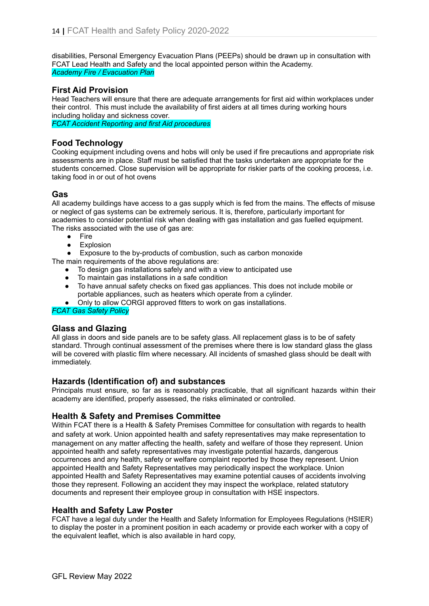disabilities, Personal Emergency Evacuation Plans (PEEPs) should be drawn up in consultation with FCAT Lead Health and Safety and the local appointed person within the Academy. *Academy Fire / Evacuation Plan*

# **First Aid Provision**

Head Teachers will ensure that there are adequate arrangements for first aid within workplaces under their control. This must include the availability of first aiders at all times during working hours including holiday and sickness cover.

*FCAT Accident Reporting and first Aid procedures*

# **Food Technology**

Cooking equipment including ovens and hobs will only be used if fire precautions and appropriate risk assessments are in place. Staff must be satisfied that the tasks undertaken are appropriate for the students concerned. Close supervision will be appropriate for riskier parts of the cooking process, i.e. taking food in or out of hot ovens

# **Gas**

All academy buildings have access to a gas supply which is fed from the mains. The effects of misuse or neglect of gas systems can be extremely serious. It is, therefore, particularly important for academies to consider potential risk when dealing with gas installation and gas fuelled equipment. The risks associated with the use of gas are:

- Fire
- **Explosion**

● Exposure to the by-products of combustion, such as carbon monoxide

- The main requirements of the above regulations are:
	- To design gas installations safely and with a view to anticipated use
	- To maintain gas installations in a safe condition
	- To have annual safety checks on fixed gas appliances. This does not include mobile or portable appliances, such as heaters which operate from a cylinder.

Only to allow CORGI approved fitters to work on gas installations.

#### *FCAT Gas Safety Policy*

# **Glass and Glazing**

All glass in doors and side panels are to be safety glass. All replacement glass is to be of safety standard. Through continual assessment of the premises where there is low standard glass the glass will be covered with plastic film where necessary. All incidents of smashed glass should be dealt with immediately.

# **Hazards (Identification of) and substances**

Principals must ensure, so far as is reasonably practicable, that all significant hazards within their academy are identified, properly assessed, the risks eliminated or controlled.

# **Health & Safety and Premises Committee**

Within FCAT there is a Health & Safety Premises Committee for consultation with regards to health and safety at work. Union appointed health and safety representatives may make representation to management on any matter affecting the health, safety and welfare of those they represent. Union appointed health and safety representatives may investigate potential hazards, dangerous occurrences and any health, safety or welfare complaint reported by those they represent. Union appointed Health and Safety Representatives may periodically inspect the workplace. Union appointed Health and Safety Representatives may examine potential causes of accidents involving those they represent. Following an accident they may inspect the workplace, related statutory documents and represent their employee group in consultation with HSE inspectors.

# **Health and Safety Law Poster**

FCAT have a legal duty under the Health and Safety Information for Employees Regulations (HSIER) to display the poster in a prominent position in each academy or provide each worker with a copy of the equivalent leaflet, which is also available in hard copy,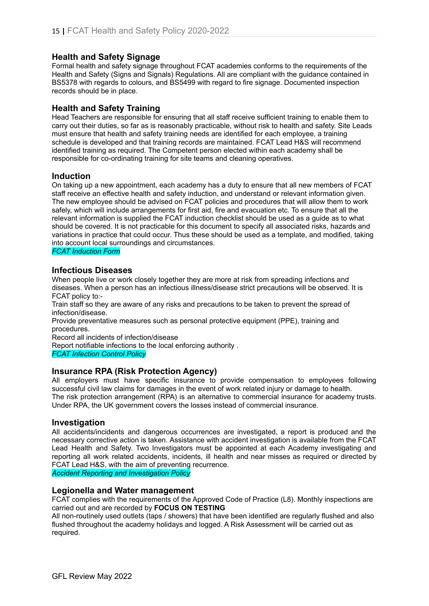# **Health and Safety Signage**

Formal health and safety signage throughout FCAT academies conforms to the requirements of the Health and Safety (Signs and Signals) Regulations. All are compliant with the guidance contained in BS5378 with regards to colours, and BS5499 with regard to fire signage. Documented inspection records should be in place.

# **Health and Safety Training**

Head Teachers are responsible for ensuring that all staff receive sufficient training to enable them to carry out their duties, so far as is reasonably practicable, without risk to health and safety. Site Leads must ensure that health and safety training needs are identified for each employee, a training schedule is developed and that training records are maintained. FCAT Lead H&S will recommend identified training as required. The Competent person elected within each academy shall be responsible for co-ordinating training for site teams and cleaning operatives.

# **Induction**

On taking up a new appointment, each academy has a duty to ensure that all new members of FCAT staff receive an effective health and safety induction, and understand or relevant information given. The new employee should be advised on FCAT policies and procedures that will allow them to work safely, which will include arrangements for first aid, fire and evacuation etc. To ensure that all the relevant information is supplied the FCAT induction checklist should be used as a guide as to what should be covered. It is not practicable for this document to specify all associated risks, hazards and variations in practice that could occur. Thus these should be used as a template, and modified, taking into account local surroundings and circumstances.

*FCAT Induction Form*

# **Infectious Diseases**

When people live or work closely together they are more at risk from spreading infections and diseases. When a person has an infectious illness/disease strict precautions will be observed. It is FCAT policy to:-

Train staff so they are aware of any risks and precautions to be taken to prevent the spread of infection/disease.

Provide preventative measures such as personal protective equipment (PPE), training and procedures.

Record all incidents of infection/disease

Report notifiable infections to the local enforcing authority .

*FCAT Infection Control Policy*

# **Insurance RPA (Risk Protection Agency)**

All employers must have specific insurance to provide compensation to employees following successful civil law claims for damages in the event of work related injury or damage to health. The risk protection arrangement (RPA) is an alternative to commercial insurance for academy trusts. Under RPA, the UK government covers the losses instead of commercial insurance.

#### **Investigation**

All accidents/incidents and dangerous occurrences are investigated, a report is produced and the necessary corrective action is taken. Assistance with accident investigation is available from the FCAT Lead Health and Safety. Two Investigators must be appointed at each Academy investigating and reporting all work related accidents, incidents, ill health and near misses as required or directed by FCAT Lead H&S, with the aim of preventing recurrence.

*Accident Reporting and Investigation Policy*

#### **Legionella and Water management**

FCAT complies with the requirements of the Approved Code of Practice (L8). Monthly inspections are carried out and are recorded by **FOCUS ON TESTING**

All non-routinely used outlets (taps / showers) that have been identified are regularly flushed and also flushed throughout the academy holidays and logged. A Risk Assessment will be carried out as required.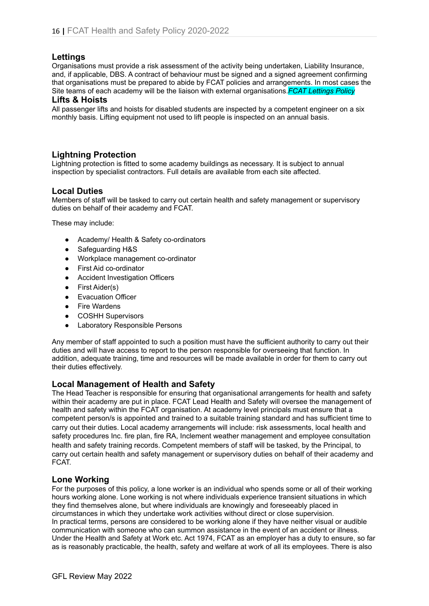# **Lettings**

Organisations must provide a risk assessment of the activity being undertaken, Liability Insurance, and, if applicable, DBS. A contract of behaviour must be signed and a signed agreement confirming that organisations must be prepared to abide by FCAT policies and arrangements. In most cases the Site teams of each academy will be the liaison with external organisations.*FCAT Lettings Policy*

#### **Lifts & Hoists**

All passenger lifts and hoists for disabled students are inspected by a competent engineer on a six monthly basis. Lifting equipment not used to lift people is inspected on an annual basis.

# **Lightning Protection**

Lightning protection is fitted to some academy buildings as necessary. It is subject to annual inspection by specialist contractors. Full details are available from each site affected.

### **Local Duties**

Members of staff will be tasked to carry out certain health and safety management or supervisory duties on behalf of their academy and FCAT.

These may include:

- Academy/ Health & Safety co-ordinators
- Safeguarding H&S
- Workplace management co-ordinator
- First Aid co-ordinator
- Accident Investigation Officers
- First Aider(s)
- Evacuation Officer
- Fire Wardens
- COSHH Supervisors
- Laboratory Responsible Persons

Any member of staff appointed to such a position must have the sufficient authority to carry out their duties and will have access to report to the person responsible for overseeing that function. In addition, adequate training, time and resources will be made available in order for them to carry out their duties effectively.

# **Local Management of Health and Safety**

The Head Teacher is responsible for ensuring that organisational arrangements for health and safety within their academy are put in place. FCAT Lead Health and Safety will oversee the management of health and safety within the FCAT organisation. At academy level principals must ensure that a competent person/s is appointed and trained to a suitable training standard and has sufficient time to carry out their duties. Local academy arrangements will include: risk assessments, local health and safety procedures Inc. fire plan, fire RA, Inclement weather management and employee consultation health and safety training records. Competent members of staff will be tasked, by the Principal, to carry out certain health and safety management or supervisory duties on behalf of their academy and FCAT.

# **Lone Working**

For the purposes of this policy, a lone worker is an individual who spends some or all of their working hours working alone. Lone working is not where individuals experience transient situations in which they find themselves alone, but where individuals are knowingly and foreseeably placed in circumstances in which they undertake work activities without direct or close supervision. In practical terms, persons are considered to be working alone if they have neither visual or audible communication with someone who can summon assistance in the event of an accident or illness. Under the Health and Safety at Work etc. Act 1974, FCAT as an employer has a duty to ensure, so far as is reasonably practicable, the health, safety and welfare at work of all its employees. There is also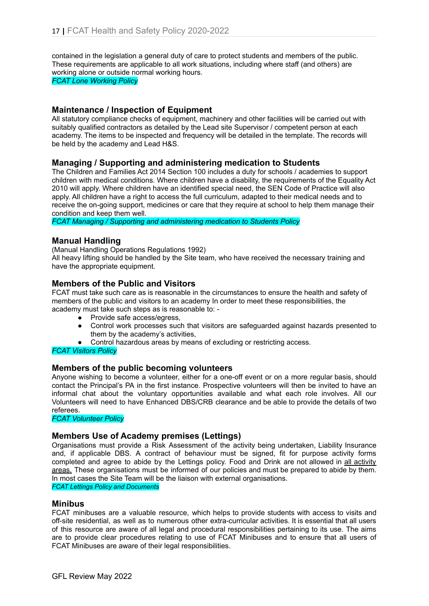contained in the legislation a general duty of care to protect students and members of the public. These requirements are applicable to all work situations, including where staff (and others) are working alone or outside normal working hours.

*FCAT Lone Working Policy*

# **Maintenance / Inspection of Equipment**

All statutory compliance checks of equipment, machinery and other facilities will be carried out with suitably qualified contractors as detailed by the Lead site Supervisor / competent person at each academy. The items to be inspected and frequency will be detailed in the template. The records will be held by the academy and Lead H&S.

# **Managing / Supporting and administering medication to Students**

The Children and Families Act 2014 Section 100 includes a duty for schools / academies to support children with medical conditions. Where children have a disability, the requirements of the Equality Act 2010 will apply. Where children have an identified special need, the SEN Code of Practice will also apply. All children have a right to access the full curriculum, adapted to their medical needs and to receive the on-going support, medicines or care that they require at school to help them manage their condition and keep them well.

*FCAT Managing / Supporting and administering medication to Students Policy*

### **Manual Handling**

(Manual Handling Operations Regulations 1992)

All heavy lifting should be handled by the Site team, who have received the necessary training and have the appropriate equipment.

### **Members of the Public and Visitors**

FCAT must take such care as is reasonable in the circumstances to ensure the health and safety of members of the public and visitors to an academy In order to meet these responsibilities, the academy must take such steps as is reasonable to: -

- Provide safe access/egress,
- Control work processes such that visitors are safeguarded against hazards presented to them by the academy's activities,
- Control hazardous areas by means of excluding or restricting access.

#### *FCAT Visitors Policy*

#### **Members of the public becoming volunteers**

Anyone wishing to become a volunteer, either for a one-off event or on a more regular basis, should contact the Principal's PA in the first instance. Prospective volunteers will then be invited to have an informal chat about the voluntary opportunities available and what each role involves. All our Volunteers will need to have Enhanced DBS/CRB clearance and be able to provide the details of two referees.

*FCAT Volunteer Policy*

#### **Members Use of Academy premises (Lettings)**

Organisations must provide a Risk Assessment of the activity being undertaken, Liability Insurance and, if applicable DBS. A contract of behaviour must be signed, fit for purpose activity forms completed and agree to abide by the Lettings policy. Food and Drink are not allowed in all activity areas. These organisations must be informed of our policies and must be prepared to abide by them. In most cases the Site Team will be the liaison with external organisations.

*FCAT Lettings Policy and Documents*

#### **Minibus**

FCAT minibuses are a valuable resource, which helps to provide students with access to visits and off-site residential, as well as to numerous other extra-curricular activities. It is essential that all users of this resource are aware of all legal and procedural responsibilities pertaining to its use. The aims are to provide clear procedures relating to use of FCAT Minibuses and to ensure that all users of FCAT Minibuses are aware of their legal responsibilities.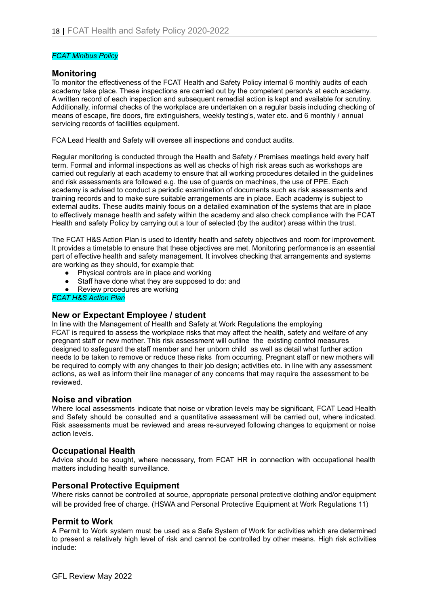#### *FCAT Minibus Policy*

#### **Monitoring**

To monitor the effectiveness of the FCAT Health and Safety Policy internal 6 monthly audits of each academy take place. These inspections are carried out by the competent person/s at each academy. A written record of each inspection and subsequent remedial action is kept and available for scrutiny. Additionally, informal checks of the workplace are undertaken on a regular basis including checking of means of escape, fire doors, fire extinguishers, weekly testing's, water etc. and 6 monthly / annual servicing records of facilities equipment.

FCA Lead Health and Safety will oversee all inspections and conduct audits.

Regular monitoring is conducted through the Health and Safety / Premises meetings held every half term. Formal and informal inspections as well as checks of high risk areas such as workshops are carried out regularly at each academy to ensure that all working procedures detailed in the guidelines and risk assessments are followed e.g. the use of guards on machines, the use of PPE. Each academy is advised to conduct a periodic examination of documents such as risk assessments and training records and to make sure suitable arrangements are in place. Each academy is subject to external audits. These audits mainly focus on a detailed examination of the systems that are in place to effectively manage health and safety within the academy and also check compliance with the FCAT Health and safety Policy by carrying out a tour of selected (by the auditor) areas within the trust.

The FCAT H&S Action Plan is used to identify health and safety objectives and room for improvement. It provides a timetable to ensure that these objectives are met. Monitoring performance is an essential part of effective health and safety management. It involves checking that arrangements and systems are working as they should, for example that:

- Physical controls are in place and working
- Staff have done what they are supposed to do: and
- Review procedures are working

*FCAT H&S Action Plan*

#### **New or Expectant Employee / student**

In line with the Management of Health and Safety at Work Regulations the employing FCAT is required to assess the workplace risks that may affect the health, safety and welfare of any pregnant staff or new mother. This risk assessment will outline the existing control measures designed to safeguard the staff member and her unborn child as well as detail what further action needs to be taken to remove or reduce these risks from occurring. Pregnant staff or new mothers will be required to comply with any changes to their job design; activities etc. in line with any assessment actions, as well as inform their line manager of any concerns that may require the assessment to be reviewed.

#### **Noise and vibration**

Where local assessments indicate that noise or vibration levels may be significant, FCAT Lead Health and Safety should be consulted and a quantitative assessment will be carried out, where indicated. Risk assessments must be reviewed and areas re-surveyed following changes to equipment or noise action levels.

#### **Occupational Health**

Advice should be sought, where necessary, from FCAT HR in connection with occupational health matters including health surveillance.

#### **Personal Protective Equipment**

Where risks cannot be controlled at source, appropriate personal protective clothing and/or equipment will be provided free of charge. (HSWA and Personal Protective Equipment at Work Regulations 11)

#### **Permit to Work**

A Permit to Work system must be used as a Safe System of Work for activities which are determined to present a relatively high level of risk and cannot be controlled by other means. High risk activities include: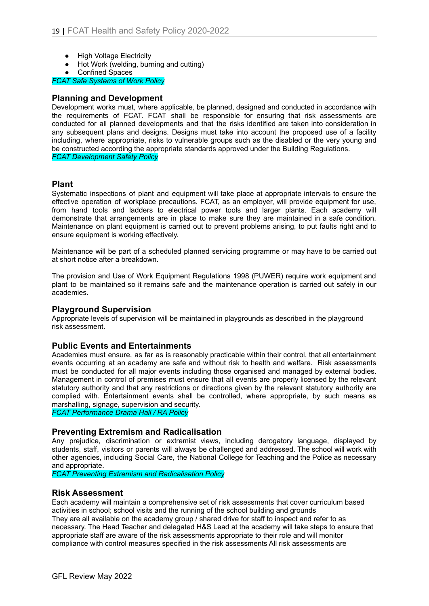- **High Voltage Electricity**
- Hot Work (welding, burning and cutting)
- Confined Spaces

*FCAT Safe Systems of Work Policy*

### **Planning and Development**

Development works must, where applicable, be planned, designed and conducted in accordance with the requirements of FCAT. FCAT shall be responsible for ensuring that risk assessments are conducted for all planned developments and that the risks identified are taken into consideration in any subsequent plans and designs. Designs must take into account the proposed use of a facility including, where appropriate, risks to vulnerable groups such as the disabled or the very young and be constructed according the appropriate standards approved under the Building Regulations. *FCAT Development Safety Policy*

# **Plant**

Systematic inspections of plant and equipment will take place at appropriate intervals to ensure the effective operation of workplace precautions. FCAT, as an employer, will provide equipment for use, from hand tools and ladders to electrical power tools and larger plants. Each academy will demonstrate that arrangements are in place to make sure they are maintained in a safe condition. Maintenance on plant equipment is carried out to prevent problems arising, to put faults right and to ensure equipment is working effectively.

Maintenance will be part of a scheduled planned servicing programme or may have to be carried out at short notice after a breakdown.

The provision and Use of Work Equipment Regulations 1998 (PUWER) require work equipment and plant to be maintained so it remains safe and the maintenance operation is carried out safely in our academies.

# **Playground Supervision**

Appropriate levels of supervision will be maintained in playgrounds as described in the playground risk assessment.

# **Public Events and Entertainments**

Academies must ensure, as far as is reasonably practicable within their control, that all entertainment events occurring at an academy are safe and without risk to health and welfare. Risk assessments must be conducted for all major events including those organised and managed by external bodies. Management in control of premises must ensure that all events are properly licensed by the relevant statutory authority and that any restrictions or directions given by the relevant statutory authority are complied with. Entertainment events shall be controlled, where appropriate, by such means as marshalling, signage, supervision and security.

*FCAT Performance Drama Hall / RA Policy*

# **Preventing Extremism and Radicalisation**

Any prejudice, discrimination or extremist views, including derogatory language, displayed by students, staff, visitors or parents will always be challenged and addressed. The school will work with other agencies, including Social Care, the National College for Teaching and the Police as necessary and appropriate.

*FCAT Preventing Extremism and Radicalisation Policy*

#### **Risk Assessment**

Each academy will maintain a comprehensive set of risk assessments that cover curriculum based activities in school; school visits and the running of the school building and grounds They are all available on the academy group / shared drive for staff to inspect and refer to as necessary. The Head Teacher and delegated H&S Lead at the academy will take steps to ensure that appropriate staff are aware of the risk assessments appropriate to their role and will monitor compliance with control measures specified in the risk assessments All risk assessments are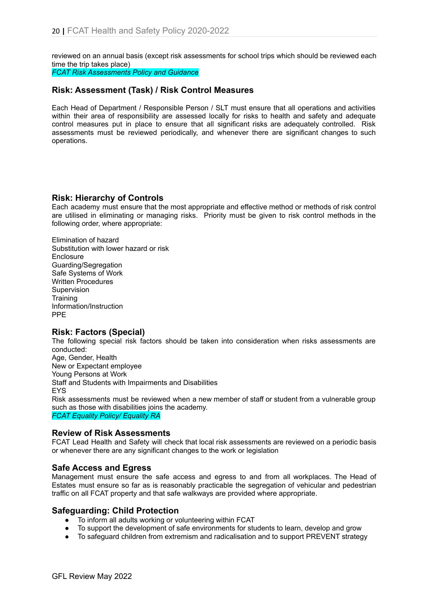reviewed on an annual basis (except risk assessments for school trips which should be reviewed each time the trip takes place)

*FCAT Risk Assessments Policy and Guidance*

# **Risk: Assessment (Task) / Risk Control Measures**

Each Head of Department / Responsible Person / SLT must ensure that all operations and activities within their area of responsibility are assessed locally for risks to health and safety and adequate control measures put in place to ensure that all significant risks are adequately controlled. Risk assessments must be reviewed periodically, and whenever there are significant changes to such operations.

# **Risk: Hierarchy of Controls**

Each academy must ensure that the most appropriate and effective method or methods of risk control are utilised in eliminating or managing risks. Priority must be given to risk control methods in the following order, where appropriate:

Elimination of hazard Substitution with lower hazard or risk **Enclosure** Guarding/Segregation Safe Systems of Work Written Procedures Supervision **Training** Information/Instruction PPE

# **Risk: Factors (Special)**

The following special risk factors should be taken into consideration when risks assessments are conducted:

Age, Gender, Health New or Expectant employee Young Persons at Work Staff and Students with Impairments and Disabilities EYS Risk assessments must be reviewed when a new member of staff or student from a vulnerable group such as those with disabilities joins the academy. *FCAT Equality Policy/ Equality RA*

#### **Review of Risk Assessments**

FCAT Lead Health and Safety will check that local risk assessments are reviewed on a periodic basis or whenever there are any significant changes to the work or legislation

# **Safe Access and Egress**

Management must ensure the safe access and egress to and from all workplaces. The Head of Estates must ensure so far as is reasonably practicable the segregation of vehicular and pedestrian traffic on all FCAT property and that safe walkways are provided where appropriate.

# **Safeguarding: Child Protection**

- To inform all adults working or volunteering within FCAT
- To support the development of safe environments for students to learn, develop and grow
- To safeguard children from extremism and radicalisation and to support PREVENT strategy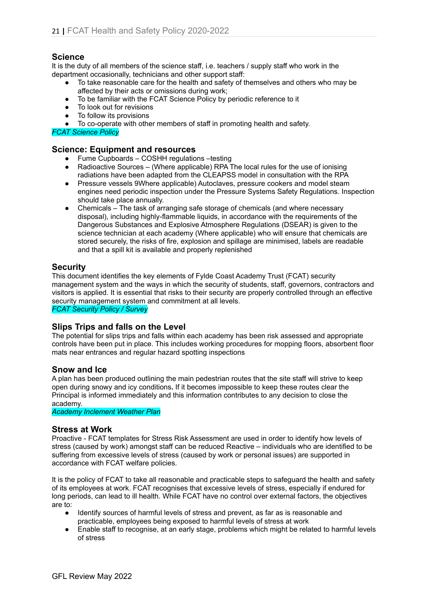# **Science**

It is the duty of all members of the science staff, i.e. teachers / supply staff who work in the department occasionally, technicians and other support staff:

- To take reasonable care for the health and safety of themselves and others who may be affected by their acts or omissions during work;
- To be familiar with the FCAT Science Policy by periodic reference to it
- To look out for revisions
- To follow its provisions
- To co-operate with other members of staff in promoting health and safety.

*FCAT Science Policy*

### **Science: Equipment and resources**

- Fume Cupboards COSHH regulations –testing
- Radioactive Sources (Where applicable) RPA The local rules for the use of ionising radiations have been adapted from the CLEAPSS model in consultation with the RPA
- Pressure vessels 9Where applicable) Autoclaves, pressure cookers and model steam engines need periodic inspection under the Pressure Systems Safety Regulations. Inspection should take place annually.
- Chemicals The task of arranging safe storage of chemicals (and where necessary disposal), including highly-flammable liquids, in accordance with the requirements of the Dangerous Substances and Explosive Atmosphere Regulations (DSEAR) is given to the science technician at each academy (Where applicable) who will ensure that chemicals are stored securely, the risks of fire, explosion and spillage are minimised, labels are readable and that a spill kit is available and properly replenished

### **Security**

This document identifies the key elements of Fylde Coast Academy Trust (FCAT) security management system and the ways in which the security of students, staff, governors, contractors and visitors is applied. It is essential that risks to their security are properly controlled through an effective security management system and commitment at all levels.

*FCAT Security Policy / Survey*

#### **Slips Trips and falls on the Level**

The potential for slips trips and falls within each academy has been risk assessed and appropriate controls have been put in place. This includes working procedures for mopping floors, absorbent floor mats near entrances and regular hazard spotting inspections

#### **Snow and Ice**

A plan has been produced outlining the main pedestrian routes that the site staff will strive to keep open during snowy and icy conditions**.** If it becomes impossible to keep these routes clear the Principal is informed immediately and this information contributes to any decision to close the academy.

*Academy Inclement Weather Plan*

#### **Stress at Work**

Proactive - FCAT templates for Stress Risk Assessment are used in order to identify how levels of stress (caused by work) amongst staff can be reduced Reactive – individuals who are identified to be suffering from excessive levels of stress (caused by work or personal issues) are supported in accordance with FCAT welfare policies.

It is the policy of FCAT to take all reasonable and practicable steps to safeguard the health and safety of its employees at work. FCAT recognises that excessive levels of stress, especially if endured for long periods, can lead to ill health. While FCAT have no control over external factors, the objectives are to:

- Identify sources of harmful levels of stress and prevent, as far as is reasonable and practicable, employees being exposed to harmful levels of stress at work
- Enable staff to recognise, at an early stage, problems which might be related to harmful levels of stress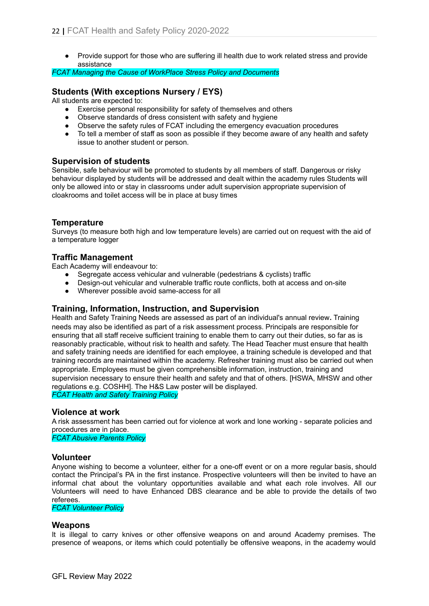● Provide support for those who are suffering ill health due to work related stress and provide assistance

*FCAT Managing the Cause of WorkPlace Stress Policy and Documents*

# **Students (With exceptions Nursery / EYS)**

All students are expected to:

- Exercise personal responsibility for safety of themselves and others
- Observe standards of dress consistent with safety and hygiene
- Observe the safety rules of FCAT including the emergency evacuation procedures
- To tell a member of staff as soon as possible if they become aware of any health and safety issue to another student or person.

### **Supervision of students**

Sensible, safe behaviour will be promoted to students by all members of staff. Dangerous or risky behaviour displayed by students will be addressed and dealt within the academy rules Students will only be allowed into or stay in classrooms under adult supervision appropriate supervision of cloakrooms and toilet access will be in place at busy times

# **Temperature**

Surveys (to measure both high and low temperature levels) are carried out on request with the aid of a temperature logger

### **Traffic Management**

Each Academy will endeavour to:

- Segregate access vehicular and vulnerable (pedestrians & cyclists) traffic
- Design-out vehicular and vulnerable traffic route conflicts, both at access and on-site
- Wherever possible avoid same-access for all

# **Training, Information, Instruction, and Supervision**

Health and Safety Training Needs are assessed as part of an individual's annual review**.** Training needs may also be identified as part of a risk assessment process. Principals are responsible for ensuring that all staff receive sufficient training to enable them to carry out their duties, so far as is reasonably practicable, without risk to health and safety. The Head Teacher must ensure that health and safety training needs are identified for each employee, a training schedule is developed and that training records are maintained within the academy. Refresher training must also be carried out when appropriate. Employees must be given comprehensible information, instruction, training and supervision necessary to ensure their health and safety and that of others. [HSWA, MHSW and other regulations e.g. COSHH]. The H&S Law poster will be displayed. *FCAT Health and Safety Training Policy*

#### **Violence at work**

A risk assessment has been carried out for violence at work and lone working - separate policies and procedures are in place.

*FCAT Abusive Parents Policy*

#### **Volunteer**

Anyone wishing to become a volunteer, either for a one-off event or on a more regular basis, should contact the Principal's PA in the first instance. Prospective volunteers will then be invited to have an informal chat about the voluntary opportunities available and what each role involves. All our Volunteers will need to have Enhanced DBS clearance and be able to provide the details of two referees.

*FCAT Volunteer Policy*

#### **Weapons**

It is illegal to carry knives or other offensive weapons on and around Academy premises. The presence of weapons, or items which could potentially be offensive weapons, in the academy would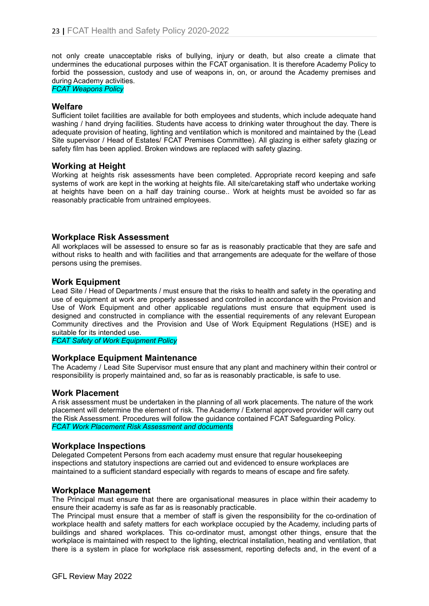not only create unacceptable risks of bullying, injury or death, but also create a climate that undermines the educational purposes within the FCAT organisation. It is therefore Academy Policy to forbid the possession, custody and use of weapons in, on, or around the Academy premises and during Academy activities.

*FCAT Weapons Policy*

#### **Welfare**

Sufficient toilet facilities are available for both employees and students, which include adequate hand washing / hand drying facilities. Students have access to drinking water throughout the day. There is adequate provision of heating, lighting and ventilation which is monitored and maintained by the (Lead Site supervisor / Head of Estates/ FCAT Premises Committee). All glazing is either safety glazing or safety film has been applied. Broken windows are replaced with safety glazing.

### **Working at Height**

Working at heights risk assessments have been completed. Appropriate record keeping and safe systems of work are kept in the working at heights file. All site/caretaking staff who undertake working at heights have been on a half day training course.. Work at heights must be avoided so far as reasonably practicable from untrained employees.

#### **Workplace Risk Assessment**

All workplaces will be assessed to ensure so far as is reasonably practicable that they are safe and without risks to health and with facilities and that arrangements are adequate for the welfare of those persons using the premises.

#### **Work Equipment**

Lead Site / Head of Departments / must ensure that the risks to health and safety in the operating and use of equipment at work are properly assessed and controlled in accordance with the Provision and Use of Work Equipment and other applicable regulations must ensure that equipment used is designed and constructed in compliance with the essential requirements of any relevant European Community directives and the Provision and Use of Work Equipment Regulations (HSE) and is suitable for its intended use.

*FCAT Safety of Work Equipment Policy*

#### **Workplace Equipment Maintenance**

The Academy / Lead Site Supervisor must ensure that any plant and machinery within their control or responsibility is properly maintained and, so far as is reasonably practicable, is safe to use.

#### **Work Placement**

A risk assessment must be undertaken in the planning of all work placements. The nature of the work placement will determine the element of risk. The Academy / External approved provider will carry out the Risk Assessment. Procedures will follow the guidance contained FCAT Safeguarding Policy. *FCAT Work Placement Risk Assessment and documents*

#### **Workplace Inspections**

Delegated Competent Persons from each academy must ensure that regular housekeeping inspections and statutory inspections are carried out and evidenced to ensure workplaces are maintained to a sufficient standard especially with regards to means of escape and fire safety.

#### **Workplace Management**

The Principal must ensure that there are organisational measures in place within their academy to ensure their academy is safe as far as is reasonably practicable.

The Principal must ensure that a member of staff is given the responsibility for the co-ordination of workplace health and safety matters for each workplace occupied by the Academy, including parts of buildings and shared workplaces. This co-ordinator must, amongst other things, ensure that the workplace is maintained with respect to the lighting, electrical installation, heating and ventilation, that there is a system in place for workplace risk assessment, reporting defects and, in the event of a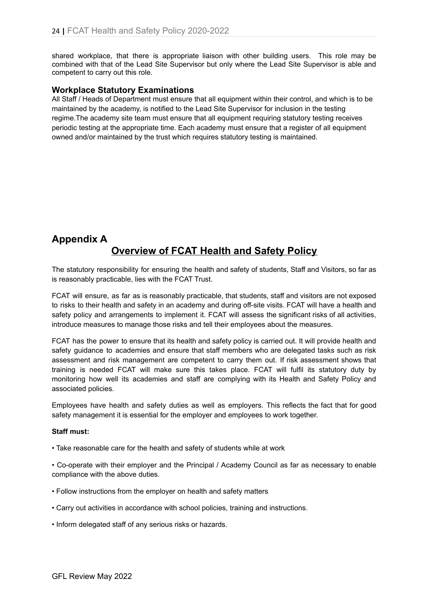shared workplace, that there is appropriate liaison with other building users. This role may be combined with that of the Lead Site Supervisor but only where the Lead Site Supervisor is able and competent to carry out this role.

### **Workplace Statutory Examinations**

All Staff / Heads of Department must ensure that all equipment within their control, and which is to be maintained by the academy, is notified to the Lead Site Supervisor for inclusion in the testing regime.The academy site team must ensure that all equipment requiring statutory testing receives periodic testing at the appropriate time. Each academy must ensure that a register of all equipment owned and/or maintained by the trust which requires statutory testing is maintained.

# **Appendix A Overview of FCAT Health and Safety Policy**

The statutory responsibility for ensuring the health and safety of students, Staff and Visitors, so far as is reasonably practicable, lies with the FCAT Trust.

FCAT will ensure, as far as is reasonably practicable, that students, staff and visitors are not exposed to risks to their health and safety in an academy and during off-site visits. FCAT will have a health and safety policy and arrangements to implement it. FCAT will assess the significant risks of all activities, introduce measures to manage those risks and tell their employees about the measures.

FCAT has the power to ensure that its health and safety policy is carried out. It will provide health and safety guidance to academies and ensure that staff members who are delegated tasks such as risk assessment and risk management are competent to carry them out. If risk assessment shows that training is needed FCAT will make sure this takes place. FCAT will fulfil its statutory duty by monitoring how well its academies and staff are complying with its Health and Safety Policy and associated policies.

Employees have health and safety duties as well as employers. This reflects the fact that for good safety management it is essential for the employer and employees to work together.

#### **Staff must:**

• Take reasonable care for the health and safety of students while at work

• Co-operate with their employer and the Principal / Academy Council as far as necessary to enable compliance with the above duties.

- Follow instructions from the employer on health and safety matters
- Carry out activities in accordance with school policies, training and instructions.
- Inform delegated staff of any serious risks or hazards.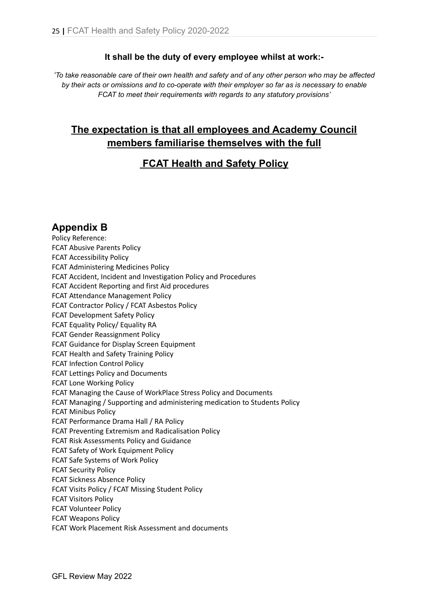# **It shall be the duty of every employee whilst at work:-**

'To take reasonable care of their own health and safety and of any other person who may be affected *by their acts or omissions and to co-operate with their employer so far as is necessary to enable FCAT to meet their requirements with regards to any statutory provisions'*

# **The expectation is that all employees and Academy Council members familiarise themselves with the full**

# **FCAT Health and Safety Policy**

**Appendix B**

Policy Reference: FCAT Abusive Parents Policy FCAT Accessibility Policy FCAT Administering Medicines Policy FCAT Accident, Incident and Investigation Policy and Procedures FCAT Accident Reporting and first Aid procedures FCAT Attendance Management Policy FCAT Contractor Policy / FCAT Asbestos Policy FCAT Development Safety Policy FCAT Equality Policy/ Equality RA FCAT Gender Reassignment Policy FCAT Guidance for Display Screen Equipment FCAT Health and Safety Training Policy FCAT Infection Control Policy FCAT Lettings Policy and Documents FCAT Lone Working Policy FCAT Managing the Cause of WorkPlace Stress Policy and Documents FCAT Managing / Supporting and administering medication to Students Policy FCAT Minibus Policy FCAT Performance Drama Hall / RA Policy FCAT Preventing Extremism and Radicalisation Policy FCAT Risk Assessments Policy and Guidance FCAT Safety of Work Equipment Policy FCAT Safe Systems of Work Policy FCAT Security Policy FCAT Sickness Absence Policy FCAT Visits Policy / FCAT Missing Student Policy FCAT Visitors Policy FCAT Volunteer Policy FCAT Weapons Policy FCAT Work Placement Risk Assessment and documents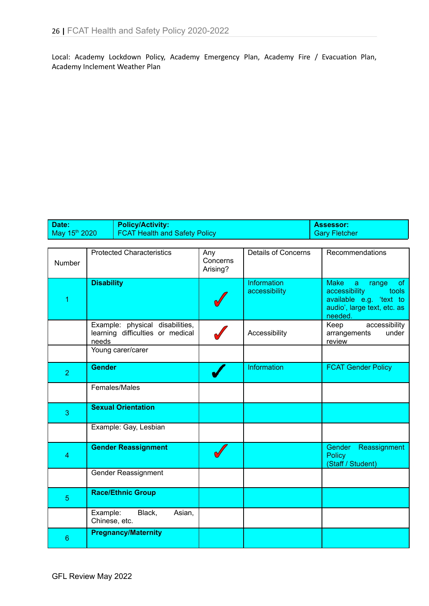Local: Academy Lockdown Policy, Academy Emergency Plan, Academy Fire / Evacuation Plan, Academy Inclement Weather Plan

| Date:                     | <b>Policy/Activity:</b>              | <b>Assessor:</b> |
|---------------------------|--------------------------------------|------------------|
| May 15 <sup>th</sup> 2020 | <b>FCAT Health and Safety Policy</b> | Gary Fletcher    |

| Number         | <b>Protected Characteristics</b>                                             | Any<br>Concerns<br>Arising? | <b>Details of Concerns</b>   | Recommendations                                                                                                                       |
|----------------|------------------------------------------------------------------------------|-----------------------------|------------------------------|---------------------------------------------------------------------------------------------------------------------------------------|
| 1              | <b>Disability</b>                                                            |                             | Information<br>accessibility | <b>Make</b><br><b>of</b><br>a<br>range<br>accessibility<br>tools<br>available e.g. 'text to<br>audio', large text, etc. as<br>needed. |
|                | Example: physical disabilities,<br>learning difficulties or medical<br>needs |                             | Accessibility                | accessibility<br>Keep<br>arrangements<br>under<br>review                                                                              |
|                | Young carer/carer                                                            |                             |                              |                                                                                                                                       |
| $\overline{2}$ | <b>Gender</b>                                                                |                             | <b>Information</b>           | <b>FCAT Gender Policy</b>                                                                                                             |
|                | Females/Males                                                                |                             |                              |                                                                                                                                       |
| 3              | <b>Sexual Orientation</b>                                                    |                             |                              |                                                                                                                                       |
|                | Example: Gay, Lesbian                                                        |                             |                              |                                                                                                                                       |
| 4              | <b>Gender Reassignment</b>                                                   |                             |                              | <b>Gender</b><br>Reassignment<br><b>Policy</b><br>(Staff / Student)                                                                   |
|                | Gender Reassignment                                                          |                             |                              |                                                                                                                                       |
| 5              | <b>Race/Ethnic Group</b>                                                     |                             |                              |                                                                                                                                       |
|                | Example:<br>Black,<br>Asian,<br>Chinese, etc.                                |                             |                              |                                                                                                                                       |
| 6              | <b>Pregnancy/Maternity</b>                                                   |                             |                              |                                                                                                                                       |